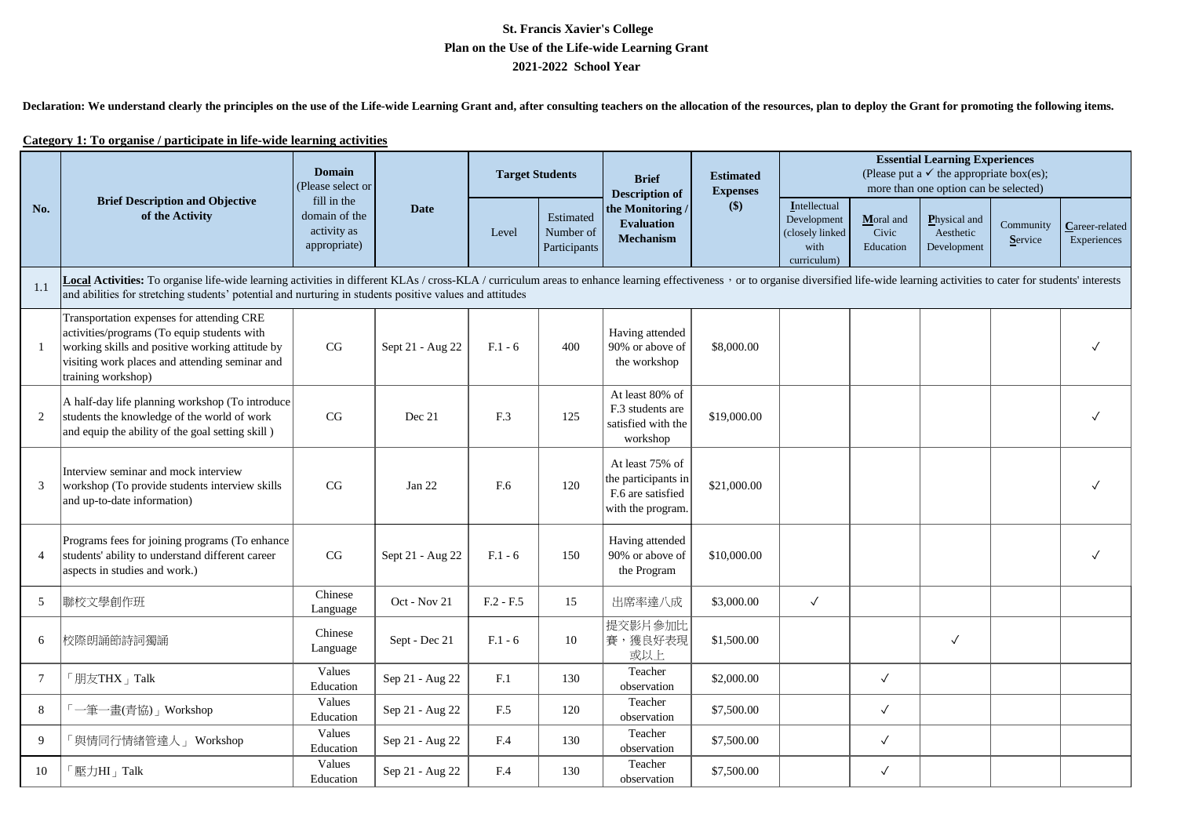## **St. Francis Xavier's College 2021-2022 School Year Plan on the Use of the Life-wide Learning Grant**

Declaration: We understand clearly the principles on the use of the Life-wide Learning Grant and, after consulting teachers on the allocation of the resources, plan to deploy the Grant for promoting the following items.

## **Category 1: To organise / participate in life-wide learning activities**

|                 | <b>Brief Description and Objective</b><br>of the Activity                                                                                                                                                                                                                                                                                  | <b>Domain</b><br>(Please select or<br>fill in the<br>domain of the<br>activity as<br>appropriate) |                  | <b>Target Students</b> |                                        | <b>Brief</b><br><b>Description of</b>                                            | <b>Estimated</b><br><b>Expenses</b><br>$($)$ | <b>Essential Learning Experiences</b><br>(Please put a $\checkmark$ the appropriate box(es);<br>more than one option can be selected) |                                 |                                                 |                      |                               |  |
|-----------------|--------------------------------------------------------------------------------------------------------------------------------------------------------------------------------------------------------------------------------------------------------------------------------------------------------------------------------------------|---------------------------------------------------------------------------------------------------|------------------|------------------------|----------------------------------------|----------------------------------------------------------------------------------|----------------------------------------------|---------------------------------------------------------------------------------------------------------------------------------------|---------------------------------|-------------------------------------------------|----------------------|-------------------------------|--|
| No.             |                                                                                                                                                                                                                                                                                                                                            |                                                                                                   | Date             | Level                  | Estimated<br>Number of<br>Participants | the Monitoring/<br><b>Evaluation</b><br><b>Mechanism</b>                         |                                              | Intellectual<br>Development<br>(closely linked<br>with<br>curriculum)                                                                 | Moral and<br>Civic<br>Education | <b>Physical and</b><br>Aesthetic<br>Development | Community<br>Service | Career-related<br>Experiences |  |
| 1.1             | Local Activities: To organise life-wide learning activities in different KLAs / cross-KLA / curriculum areas to enhance learning effectiveness, or to organise diversified life-wide learning activities to cater for students<br>and abilities for stretching students' potential and nurturing in students positive values and attitudes |                                                                                                   |                  |                        |                                        |                                                                                  |                                              |                                                                                                                                       |                                 |                                                 |                      |                               |  |
|                 | Transportation expenses for attending CRE<br>activities/programs (To equip students with<br>working skills and positive working attitude by<br>visiting work places and attending seminar and<br>training workshop)                                                                                                                        | CG                                                                                                | Sept 21 - Aug 22 | $F.1 - 6$              | 400                                    | Having attended<br>90% or above of<br>the workshop                               | \$8,000.00                                   |                                                                                                                                       |                                 |                                                 |                      |                               |  |
| 2               | A half-day life planning workshop (To introduce<br>students the knowledge of the world of work<br>and equip the ability of the goal setting skill)                                                                                                                                                                                         | CG                                                                                                | Dec 21           | F.3                    | 125                                    | At least 80% of<br>F.3 students are<br>satisfied with the<br>workshop            | \$19,000.00                                  |                                                                                                                                       |                                 |                                                 |                      |                               |  |
| 3               | Interview seminar and mock interview<br>workshop (To provide students interview skills)<br>and up-to-date information)                                                                                                                                                                                                                     | CG                                                                                                | Jan 22           | F.6                    | 120                                    | At least 75% of<br>the participants in<br>F.6 are satisfied<br>with the program. | \$21,000.00                                  |                                                                                                                                       |                                 |                                                 |                      |                               |  |
| $\overline{4}$  | Programs fees for joining programs (To enhance<br>students' ability to understand different career<br>aspects in studies and work.)                                                                                                                                                                                                        | CG                                                                                                | Sept 21 - Aug 22 | $F.1 - 6$              | 150                                    | Having attended<br>90% or above of<br>the Program                                | \$10,000.00                                  |                                                                                                                                       |                                 |                                                 |                      |                               |  |
| 5               | 聯校文學創作班                                                                                                                                                                                                                                                                                                                                    | Chinese<br>Language                                                                               | Oct - Nov 21     | $F.2 - F.5$            | 15                                     | 出席率達八成                                                                           | \$3,000.00                                   | $\checkmark$                                                                                                                          |                                 |                                                 |                      |                               |  |
| 6               | 校際朗誦節詩詞獨誦                                                                                                                                                                                                                                                                                                                                  | Chinese<br>Language                                                                               | Sept - Dec 21    | $F.1 - 6$              | 10                                     | 提交影片参加比<br>賽,獲良好表現<br>或以上                                                        | \$1,500.00                                   |                                                                                                                                       |                                 | $\checkmark$                                    |                      |                               |  |
| $7\phantom{.0}$ | 「朋友THX」Talk                                                                                                                                                                                                                                                                                                                                | Values<br>Education                                                                               | Sep 21 - Aug 22  | F.1                    | 130                                    | Teacher<br>observation                                                           | \$2,000.00                                   |                                                                                                                                       | $\checkmark$                    |                                                 |                      |                               |  |
| 8               | 「一筆一畫(青協)」Workshop                                                                                                                                                                                                                                                                                                                         | Values<br>Education                                                                               | Sep 21 - Aug 22  | F.5                    | 120                                    | Teacher<br>observation                                                           | \$7,500.00                                   |                                                                                                                                       | $\checkmark$                    |                                                 |                      |                               |  |
| 9               | 「與情同行情緒管達人」 Workshop                                                                                                                                                                                                                                                                                                                       | Values<br>Education                                                                               | Sep 21 - Aug 22  | F.4                    | 130                                    | Teacher<br>observation                                                           | \$7,500.00                                   |                                                                                                                                       | $\checkmark$                    |                                                 |                      |                               |  |
| 10              | 壓力HI   Talk                                                                                                                                                                                                                                                                                                                                | Values<br>Education                                                                               | Sep 21 - Aug 22  | F.4                    | 130                                    | Teacher<br>observation                                                           | \$7,500.00                                   |                                                                                                                                       | $\checkmark$                    |                                                 |                      |                               |  |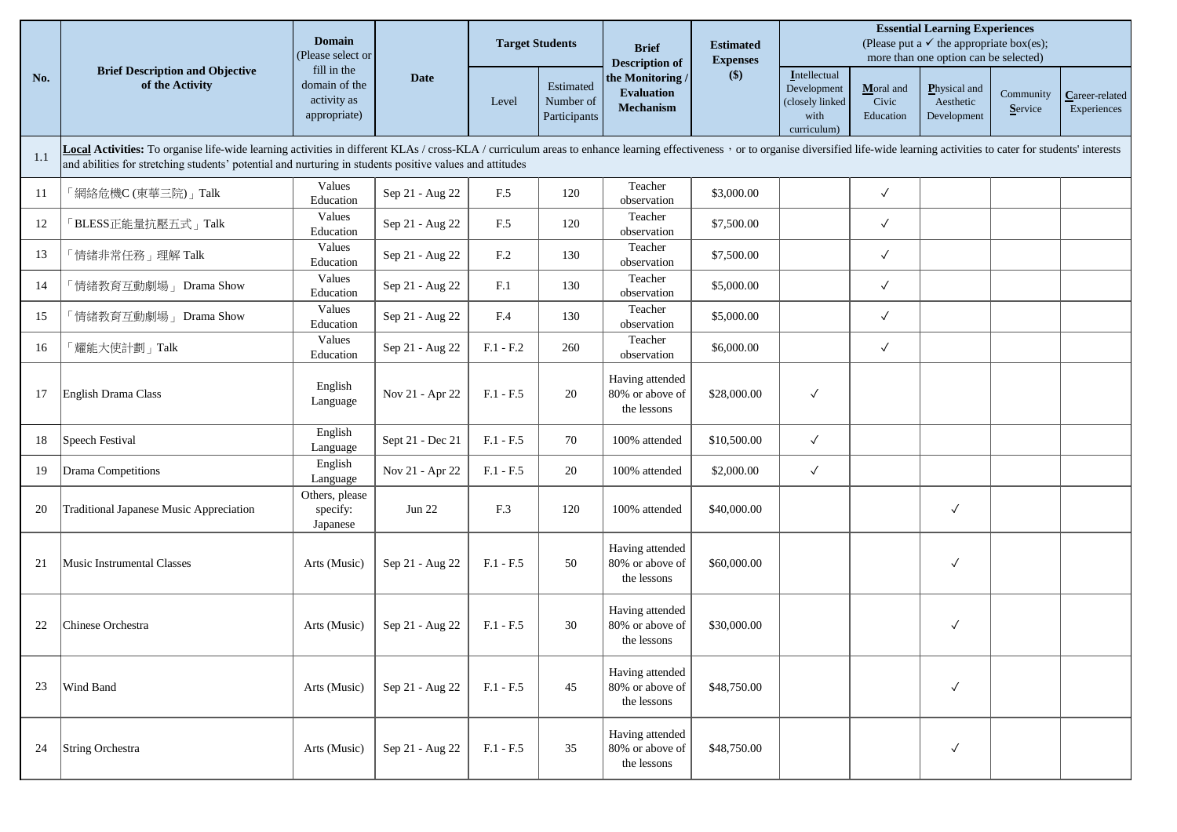|     | <b>Brief Description and Objective</b><br>of the Activity                                                                                                                                                                                                                                                                                  | <b>Domain</b><br>(Please select or                          |                  |                 | <b>Target Students</b>                 |                                                                                  | <b>Estimated</b><br><b>Expenses</b> | <b>Essential Learning Experiences</b><br>(Please put a $\checkmark$ the appropriate box(es);<br>more than one option can be selected) |                                 |                                          |                      |                               |  |  |
|-----|--------------------------------------------------------------------------------------------------------------------------------------------------------------------------------------------------------------------------------------------------------------------------------------------------------------------------------------------|-------------------------------------------------------------|------------------|-----------------|----------------------------------------|----------------------------------------------------------------------------------|-------------------------------------|---------------------------------------------------------------------------------------------------------------------------------------|---------------------------------|------------------------------------------|----------------------|-------------------------------|--|--|
| No. |                                                                                                                                                                                                                                                                                                                                            | fill in the<br>domain of the<br>activity as<br>appropriate) | Date             | Level           | Estimated<br>Number of<br>Participants | <b>Description of</b><br>the Monitoring<br><b>Evaluation</b><br><b>Mechanism</b> | $($)$                               | Intellectual<br>Development<br>(closely linked<br>with<br>curriculum)                                                                 | Moral and<br>Civic<br>Education | Physical and<br>Aesthetic<br>Development | Community<br>Service | Career-related<br>Experiences |  |  |
| 1.1 | Local Activities: To organise life-wide learning activities in different KLAs / cross-KLA / curriculum areas to enhance learning effectiveness, or to organise diversified life-wide learning activities to cater for students<br>and abilities for stretching students' potential and nurturing in students positive values and attitudes |                                                             |                  |                 |                                        |                                                                                  |                                     |                                                                                                                                       |                                 |                                          |                      |                               |  |  |
| 11  | 「網絡危機C (東華三院)」Talk                                                                                                                                                                                                                                                                                                                         | Values<br>Education                                         | Sep 21 - Aug 22  | F.5             | 120                                    | Teacher<br>observation                                                           | \$3,000.00                          |                                                                                                                                       | $\checkmark$                    |                                          |                      |                               |  |  |
| 12  | BLESS正能量抗壓五式」Talk                                                                                                                                                                                                                                                                                                                          | Values<br>Education                                         | Sep 21 - Aug 22  | F.5             | 120                                    | Teacher<br>observation                                                           | \$7,500.00                          |                                                                                                                                       | $\checkmark$                    |                                          |                      |                               |  |  |
| 13  | 情緒非常任務」理解 Talk                                                                                                                                                                                                                                                                                                                             | Values<br>Education                                         | Sep 21 - Aug 22  | F <sub>.2</sub> | 130                                    | Teacher<br>observation                                                           | \$7,500.00                          |                                                                                                                                       | $\checkmark$                    |                                          |                      |                               |  |  |
| 14  | 「情緒教育互動劇場」 Drama Show                                                                                                                                                                                                                                                                                                                      | Values<br>Education                                         | Sep 21 - Aug 22  | F <sub>1</sub>  | 130                                    | Teacher<br>observation                                                           | \$5,000.00                          |                                                                                                                                       | $\checkmark$                    |                                          |                      |                               |  |  |
| 15  | 情緒教育互動劇場」 Drama Show                                                                                                                                                                                                                                                                                                                       | Values<br>Education                                         | Sep 21 - Aug 22  | F.4             | 130                                    | Teacher<br>observation                                                           | \$5,000.00                          |                                                                                                                                       | $\checkmark$                    |                                          |                      |                               |  |  |
| 16  | <b>耀能大使計劃」Talk</b>                                                                                                                                                                                                                                                                                                                         | Values<br>Education                                         | Sep 21 - Aug 22  | $F.1 - F.2$     | 260                                    | Teacher<br>observation                                                           | \$6,000.00                          |                                                                                                                                       | $\checkmark$                    |                                          |                      |                               |  |  |
| 17  | English Drama Class                                                                                                                                                                                                                                                                                                                        | English<br>Language                                         | Nov 21 - Apr 22  | $F.1 - F.5$     | 20                                     | Having attended<br>80% or above of<br>the lessons                                | \$28,000.00                         | $\checkmark$                                                                                                                          |                                 |                                          |                      |                               |  |  |
| 18  | Speech Festival                                                                                                                                                                                                                                                                                                                            | English<br>Language                                         | Sept 21 - Dec 21 | $F.1 - F.5$     | 70                                     | 100% attended                                                                    | \$10,500.00                         | $\checkmark$                                                                                                                          |                                 |                                          |                      |                               |  |  |
| 19  | Drama Competitions                                                                                                                                                                                                                                                                                                                         | English<br>Language                                         | Nov 21 - Apr 22  | $F.1 - F.5$     | 20                                     | 100% attended                                                                    | \$2,000.00                          | $\checkmark$                                                                                                                          |                                 |                                          |                      |                               |  |  |
| 20  | Traditional Japanese Music Appreciation                                                                                                                                                                                                                                                                                                    | Others, please<br>specify:<br>Japanese                      | <b>Jun 22</b>    | F.3             | 120                                    | 100% attended                                                                    | \$40,000.00                         |                                                                                                                                       |                                 | $\checkmark$                             |                      |                               |  |  |
| 21  | Music Instrumental Classes                                                                                                                                                                                                                                                                                                                 | Arts (Music)                                                | Sep 21 - Aug 22  | $F.1 - F.5$     | 50                                     | Having attended<br>80% or above of<br>the lessons                                | \$60,000.00                         |                                                                                                                                       |                                 | $\checkmark$                             |                      |                               |  |  |
| 22  | Chinese Orchestra                                                                                                                                                                                                                                                                                                                          | Arts (Music)                                                | Sep 21 - Aug 22  | $F.1 - F.5$     | 30                                     | Having attended<br>80% or above of<br>the lessons                                | \$30,000.00                         |                                                                                                                                       |                                 | $\checkmark$                             |                      |                               |  |  |
| 23  | Wind Band                                                                                                                                                                                                                                                                                                                                  | Arts (Music)                                                | Sep 21 - Aug 22  | $F.1 - F.5$     | 45                                     | Having attended<br>80% or above of<br>the lessons                                | \$48,750.00                         |                                                                                                                                       |                                 | $\checkmark$                             |                      |                               |  |  |
| 24  | String Orchestra                                                                                                                                                                                                                                                                                                                           | Arts (Music)                                                | Sep 21 - Aug 22  | $F.1 - F.5$     | 35                                     | Having attended<br>80% or above of<br>the lessons                                | \$48,750.00                         |                                                                                                                                       |                                 | $\checkmark$                             |                      |                               |  |  |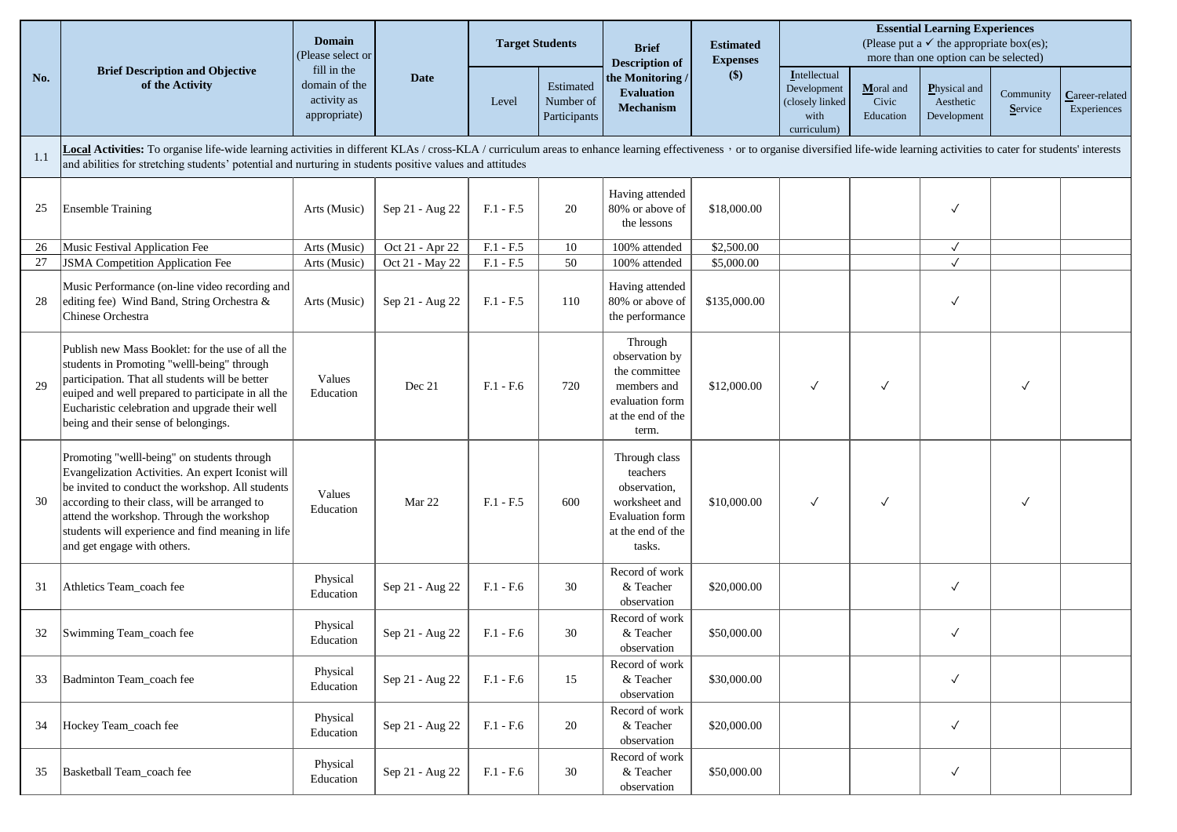|     | <b>Brief Description and Objective</b><br>of the Activity                                                                                                                                                                                                                                                                                  | <b>Domain</b><br>(Please select or                          |                 | <b>Target Students</b> |                                        | <b>Brief</b><br><b>Description of</b>                                                                               | <b>Estimated</b><br><b>Expenses</b> | <b>Essential Learning Experiences</b><br>(Please put a $\checkmark$ the appropriate box(es);<br>more than one option can be selected) |                                 |                                          |                      |                               |  |
|-----|--------------------------------------------------------------------------------------------------------------------------------------------------------------------------------------------------------------------------------------------------------------------------------------------------------------------------------------------|-------------------------------------------------------------|-----------------|------------------------|----------------------------------------|---------------------------------------------------------------------------------------------------------------------|-------------------------------------|---------------------------------------------------------------------------------------------------------------------------------------|---------------------------------|------------------------------------------|----------------------|-------------------------------|--|
| No. |                                                                                                                                                                                                                                                                                                                                            | fill in the<br>domain of the<br>activity as<br>appropriate) | <b>Date</b>     | Level                  | Estimated<br>Number of<br>Participants | the Monitoring /<br><b>Evaluation</b><br><b>Mechanism</b>                                                           | \$)                                 | Intellectual<br>Development<br>(closely linked<br>with<br>curriculum)                                                                 | Moral and<br>Civic<br>Education | Physical and<br>Aesthetic<br>Development | Community<br>Service | Career-related<br>Experiences |  |
| 1.1 | Local Activities: To organise life-wide learning activities in different KLAs / cross-KLA / curriculum areas to enhance learning effectiveness, or to organise diversified life-wide learning activities to cater for students<br>and abilities for stretching students' potential and nurturing in students positive values and attitudes |                                                             |                 |                        |                                        |                                                                                                                     |                                     |                                                                                                                                       |                                 |                                          |                      |                               |  |
| 25  | <b>Ensemble Training</b>                                                                                                                                                                                                                                                                                                                   | Arts (Music)                                                | Sep 21 - Aug 22 | $F.1 - F.5$            | 20                                     | Having attended<br>80% or above of<br>the lessons                                                                   | \$18,000.00                         |                                                                                                                                       |                                 | $\checkmark$                             |                      |                               |  |
| 26  | Music Festival Application Fee                                                                                                                                                                                                                                                                                                             | Arts (Music)                                                | Oct 21 - Apr 22 | $F.1 - F.5$            | 10                                     | 100% attended                                                                                                       | \$2,500.00                          |                                                                                                                                       |                                 | $\checkmark$                             |                      |                               |  |
| 27  | <b>JSMA</b> Competition Application Fee                                                                                                                                                                                                                                                                                                    | Arts (Music)                                                | Oct 21 - May 22 | $F.1 - F.5$            | 50                                     | 100% attended                                                                                                       | \$5,000.00                          |                                                                                                                                       |                                 |                                          |                      |                               |  |
| 28  | Music Performance (on-line video recording and<br>editing fee) Wind Band, String Orchestra &<br>Chinese Orchestra                                                                                                                                                                                                                          | Arts (Music)                                                | Sep 21 - Aug 22 | $F.1 - F.5$            | 110                                    | Having attended<br>80% or above of<br>the performance                                                               | \$135,000.00                        |                                                                                                                                       |                                 | $\checkmark$                             |                      |                               |  |
| 29  | Publish new Mass Booklet: for the use of all the<br>students in Promoting "welll-being" through<br>participation. That all students will be better<br>euiped and well prepared to participate in all the<br>Eucharistic celebration and upgrade their well<br>being and their sense of belongings.                                         | Values<br>Education                                         | Dec 21          | $F.1 - F.6$            | 720                                    | Through<br>observation by<br>the committee<br>members and<br>evaluation form<br>at the end of the<br>term.          | \$12,000.00                         | $\checkmark$                                                                                                                          | √                               |                                          | $\checkmark$         |                               |  |
| 30  | Promoting "welll-being" on students through<br>Evangelization Activities. An expert Iconist will<br>be invited to conduct the workshop. All students<br>according to their class, will be arranged to<br>attend the workshop. Through the workshop<br>students will experience and find meaning in life<br>and get engage with others.     | Values<br>Education                                         | Mar 22          | $F.1 - F.5$            | 600                                    | Through class<br>teachers<br>observation,<br>worksheet and<br><b>Evaluation</b> form<br>at the end of the<br>tasks. | \$10,000.00                         | $\checkmark$                                                                                                                          | ✓                               |                                          | $\checkmark$         |                               |  |
| 31  | Athletics Team_coach fee                                                                                                                                                                                                                                                                                                                   | Physical<br>Education                                       | Sep 21 - Aug 22 | $F.1 - F.6$            | 30                                     | Record of work<br>& Teacher<br>observation                                                                          | \$20,000.00                         |                                                                                                                                       |                                 | $\checkmark$                             |                      |                               |  |
| 32  | Swimming Team_coach fee                                                                                                                                                                                                                                                                                                                    | Physical<br>Education                                       | Sep 21 - Aug 22 | $F.1 - F.6$            | 30                                     | Record of work<br>& Teacher<br>observation                                                                          | \$50,000.00                         |                                                                                                                                       |                                 | $\checkmark$                             |                      |                               |  |
| 33  | Badminton Team_coach fee                                                                                                                                                                                                                                                                                                                   | Physical<br>Education                                       | Sep 21 - Aug 22 | $F.1 - F.6$            | 15                                     | Record of work<br>& Teacher<br>observation                                                                          | \$30,000.00                         |                                                                                                                                       |                                 | $\checkmark$                             |                      |                               |  |
| 34  | Hockey Team_coach fee                                                                                                                                                                                                                                                                                                                      | Physical<br>Education                                       | Sep 21 - Aug 22 | $F.1 - F.6$            | 20                                     | Record of work<br>& Teacher<br>observation                                                                          | \$20,000.00                         |                                                                                                                                       |                                 | $\checkmark$                             |                      |                               |  |
| 35  | Basketball Team_coach fee                                                                                                                                                                                                                                                                                                                  | Physical<br>Education                                       | Sep 21 - Aug 22 | $F.1 - F.6$            | 30                                     | Record of work<br>& Teacher<br>observation                                                                          | \$50,000.00                         |                                                                                                                                       |                                 | $\checkmark$                             |                      |                               |  |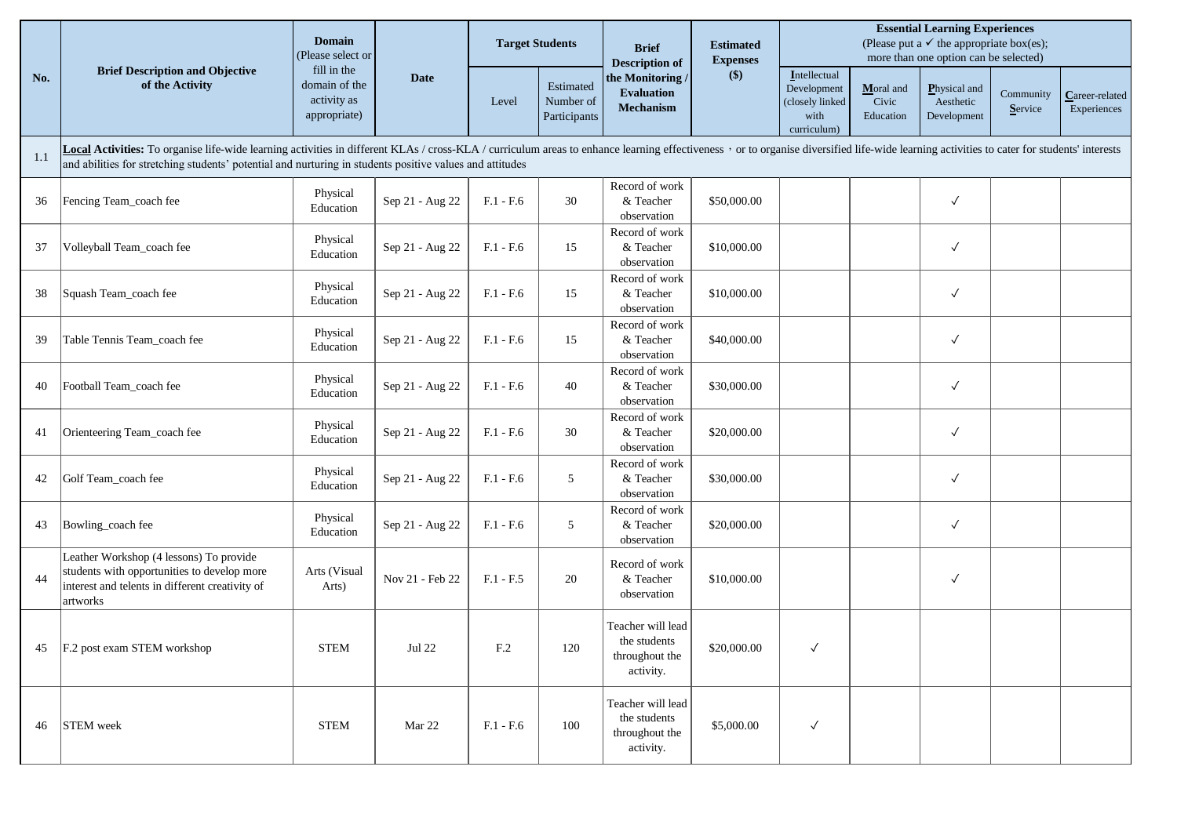|     |                                                                                                                                                                                                                                                                                                                                            | <b>Domain</b><br>(Please select or                          |                 |                 | <b>Target Students</b>                 | <b>Brief</b><br><b>Description of</b>                            | <b>Estimated</b><br><b>Expenses</b><br>\$) | <b>Essential Learning Experiences</b><br>(Please put a $\checkmark$ the appropriate box(es);<br>more than one option can be selected) |                                 |                                          |                      |                               |  |
|-----|--------------------------------------------------------------------------------------------------------------------------------------------------------------------------------------------------------------------------------------------------------------------------------------------------------------------------------------------|-------------------------------------------------------------|-----------------|-----------------|----------------------------------------|------------------------------------------------------------------|--------------------------------------------|---------------------------------------------------------------------------------------------------------------------------------------|---------------------------------|------------------------------------------|----------------------|-------------------------------|--|
| No. | <b>Brief Description and Objective</b><br>of the Activity                                                                                                                                                                                                                                                                                  | fill in the<br>domain of the<br>activity as<br>appropriate) | <b>Date</b>     | Level           | Estimated<br>Number of<br>Participants | the Monitoring/<br><b>Evaluation</b><br><b>Mechanism</b>         |                                            | Intellectual<br>Development<br>(closely linked<br>with<br>curriculum)                                                                 | Moral and<br>Civic<br>Education | Physical and<br>Aesthetic<br>Development | Community<br>Service | Career-related<br>Experiences |  |
| 1.1 | Local Activities: To organise life-wide learning activities in different KLAs / cross-KLA / curriculum areas to enhance learning effectiveness, or to organise diversified life-wide learning activities to cater for students<br>and abilities for stretching students' potential and nurturing in students positive values and attitudes |                                                             |                 |                 |                                        |                                                                  |                                            |                                                                                                                                       |                                 |                                          |                      |                               |  |
| 36  | Fencing Team_coach fee                                                                                                                                                                                                                                                                                                                     | Physical<br>Education                                       | Sep 21 - Aug 22 | $F.1 - F.6$     | 30                                     | Record of work<br>& Teacher<br>observation                       | \$50,000.00                                |                                                                                                                                       |                                 | $\checkmark$                             |                      |                               |  |
| 37  | Volleyball Team_coach fee                                                                                                                                                                                                                                                                                                                  | Physical<br>Education                                       | Sep 21 - Aug 22 | $F.1 - F.6$     | 15                                     | Record of work<br>& Teacher<br>observation                       | \$10,000.00                                |                                                                                                                                       |                                 | $\checkmark$                             |                      |                               |  |
| 38  | Squash Team_coach fee                                                                                                                                                                                                                                                                                                                      | Physical<br>Education                                       | Sep 21 - Aug 22 | $F.1 - F.6$     | 15                                     | Record of work<br>& Teacher<br>observation                       | \$10,000.00                                |                                                                                                                                       |                                 | $\checkmark$                             |                      |                               |  |
| 39  | Table Tennis Team_coach fee                                                                                                                                                                                                                                                                                                                | Physical<br>Education                                       | Sep 21 - Aug 22 | $F.1 - F.6$     | 15                                     | Record of work<br>& Teacher<br>observation                       | \$40,000.00                                |                                                                                                                                       |                                 | $\checkmark$                             |                      |                               |  |
| 40  | Football Team_coach fee                                                                                                                                                                                                                                                                                                                    | Physical<br>Education                                       | Sep 21 - Aug 22 | $F.1 - F.6$     | 40                                     | Record of work<br>& Teacher<br>observation                       | \$30,000.00                                |                                                                                                                                       |                                 | $\checkmark$                             |                      |                               |  |
| 41  | Orienteering Team_coach fee                                                                                                                                                                                                                                                                                                                | Physical<br>Education                                       | Sep 21 - Aug 22 | $F.1 - F.6$     | 30                                     | Record of work<br>& Teacher<br>observation                       | \$20,000.00                                |                                                                                                                                       |                                 | $\checkmark$                             |                      |                               |  |
| 42  | Golf Team_coach fee                                                                                                                                                                                                                                                                                                                        | Physical<br>Education                                       | Sep 21 - Aug 22 | $F.1 - F.6$     | 5                                      | Record of work<br>& Teacher<br>observation                       | \$30,000.00                                |                                                                                                                                       |                                 | $\checkmark$                             |                      |                               |  |
| 43  | Bowling_coach fee                                                                                                                                                                                                                                                                                                                          | Physical<br>Education                                       | Sep 21 - Aug 22 | $F.1 - F.6$     | 5                                      | Record of work<br>& Teacher<br>observation                       | \$20,000.00                                |                                                                                                                                       |                                 | $\checkmark$                             |                      |                               |  |
| 44  | Leather Workshop (4 lessons) To provide<br>students with opportunities to develop more<br>interest and telents in different creativity of<br>artworks                                                                                                                                                                                      | Arts (Visual<br>Arts)                                       | Nov 21 - Feb 22 | $F.1 - F.5$     | 20                                     | Record of work<br>& Teacher<br>observation                       | \$10,000.00                                |                                                                                                                                       |                                 | $\checkmark$                             |                      |                               |  |
| 45  | F.2 post exam STEM workshop                                                                                                                                                                                                                                                                                                                | <b>STEM</b>                                                 | Jul 22          | F <sub>.2</sub> | 120                                    | Teacher will lead<br>the students<br>throughout the<br>activity. | \$20,000.00                                | $\checkmark$                                                                                                                          |                                 |                                          |                      |                               |  |
| 46  | <b>STEM</b> week                                                                                                                                                                                                                                                                                                                           | <b>STEM</b>                                                 | Mar 22          | $F.1 - F.6$     | 100                                    | Teacher will lead<br>the students<br>throughout the<br>activity. | \$5,000.00                                 | $\checkmark$                                                                                                                          |                                 |                                          |                      |                               |  |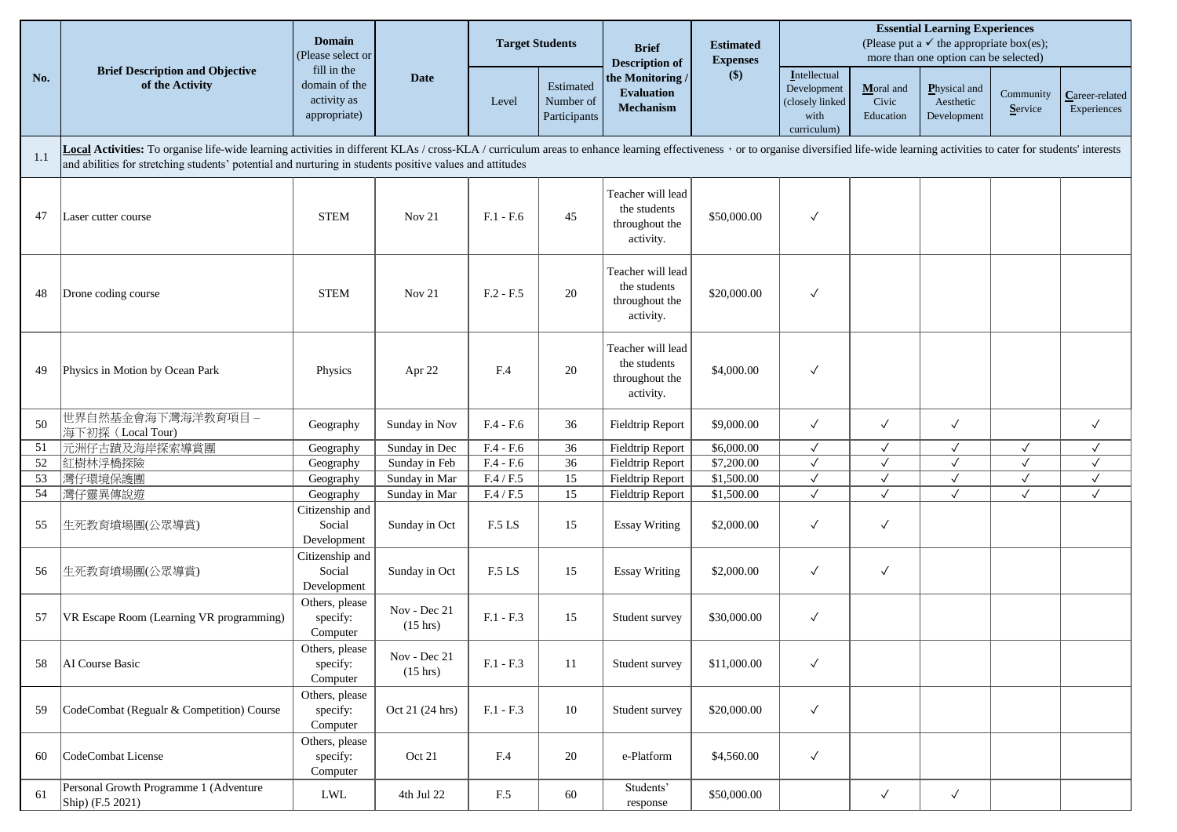|     | <b>Brief Description and Objective</b><br>of the Activity                                                                                                                                                                                                                                                                                  | <b>Domain</b><br>(Please select or                          | <b>Date</b>                        | <b>Target Students</b>  |                                        | <b>Brief</b><br><b>Description of</b><br>the Monitoring /<br><b>Evaluation</b><br><b>Mechanism</b> | <b>Estimated</b><br><b>Expenses</b> | <b>Essential Learning Experiences</b><br>(Please put a $\checkmark$ the appropriate box(es);<br>more than one option can be selected) |                                 |                                          |                      |                               |  |
|-----|--------------------------------------------------------------------------------------------------------------------------------------------------------------------------------------------------------------------------------------------------------------------------------------------------------------------------------------------|-------------------------------------------------------------|------------------------------------|-------------------------|----------------------------------------|----------------------------------------------------------------------------------------------------|-------------------------------------|---------------------------------------------------------------------------------------------------------------------------------------|---------------------------------|------------------------------------------|----------------------|-------------------------------|--|
| No. |                                                                                                                                                                                                                                                                                                                                            | fill in the<br>domain of the<br>activity as<br>appropriate) |                                    | Level                   | Estimated<br>Number of<br>Participants |                                                                                                    | $($)$                               | Intellectual<br>Development<br>(closely linked<br>with<br>curriculum)                                                                 | Moral and<br>Civic<br>Education | Physical and<br>Aesthetic<br>Development | Community<br>Service | Career-related<br>Experiences |  |
| 1.1 | Local Activities: To organise life-wide learning activities in different KLAs / cross-KLA / curriculum areas to enhance learning effectiveness, or to organise diversified life-wide learning activities to cater for students<br>and abilities for stretching students' potential and nurturing in students positive values and attitudes |                                                             |                                    |                         |                                        |                                                                                                    |                                     |                                                                                                                                       |                                 |                                          |                      |                               |  |
| 47  | Laser cutter course                                                                                                                                                                                                                                                                                                                        | <b>STEM</b>                                                 | Nov $21$                           | $F.1 - F.6$             | 45                                     | Teacher will lead<br>the students<br>throughout the<br>activity.                                   | \$50,000.00                         | $\checkmark$                                                                                                                          |                                 |                                          |                      |                               |  |
| 48  | Drone coding course                                                                                                                                                                                                                                                                                                                        | <b>STEM</b>                                                 | Nov 21                             | $F.2 - F.5$             | 20                                     | Teacher will lead<br>the students<br>throughout the<br>activity.                                   | \$20,000.00                         | $\checkmark$                                                                                                                          |                                 |                                          |                      |                               |  |
| 49  | Physics in Motion by Ocean Park                                                                                                                                                                                                                                                                                                            | Physics                                                     | Apr 22                             | F.4                     | 20                                     | Teacher will lead<br>the students<br>throughout the<br>activity.                                   | \$4,000.00                          | $\checkmark$                                                                                                                          |                                 |                                          |                      |                               |  |
| 50  | 世界自然基金會海下灣海洋教育項目-<br>海下初探 (Local Tour)                                                                                                                                                                                                                                                                                                     | Geography                                                   | Sunday in Nov                      | $F.4 - F.6$             | 36                                     | <b>Fieldtrip Report</b>                                                                            | \$9,000.00                          | $\checkmark$                                                                                                                          | $\checkmark$                    | $\checkmark$                             |                      | $\checkmark$                  |  |
| 51  | 元洲仔古蹟及海岸探索導賞團                                                                                                                                                                                                                                                                                                                              | Geography                                                   | Sunday in Dec                      | $F.4 - F.6$             | 36                                     | Fieldtrip Report                                                                                   | \$6,000.00                          | $\checkmark$                                                                                                                          | $\checkmark$                    | $\checkmark$                             | $\checkmark$         | $\checkmark$                  |  |
| 52  | 紅樹林浮橋探險                                                                                                                                                                                                                                                                                                                                    | Geography                                                   | Sunday in Feb                      | $F.4 - F.6$             | 36                                     | Fieldtrip Report                                                                                   | \$7,200.00                          | $\checkmark$                                                                                                                          | $\checkmark$                    | $\checkmark$                             | $\checkmark$         | $\checkmark$                  |  |
| 53  | 灣仔環境保護團                                                                                                                                                                                                                                                                                                                                    | Geography                                                   | Sunday in Mar                      | $\rm{F.4}$ / $\rm{F.5}$ | 15                                     | Fieldtrip Report                                                                                   | \$1,500.00                          | $\checkmark$                                                                                                                          | $\checkmark$                    | $\checkmark$                             | $\checkmark$         | $\checkmark$                  |  |
| 54  | 灣仔靈異傳說遊                                                                                                                                                                                                                                                                                                                                    | Geography                                                   | Sunday in Mar                      | $F.4$ / $F.5$           | 15                                     | Fieldtrip Report                                                                                   | \$1,500.00                          | $\checkmark$                                                                                                                          | $\checkmark$                    | $\checkmark$                             | $\checkmark$         | $\checkmark$                  |  |
| 55  | 生死教育墳場團(公眾導賞)                                                                                                                                                                                                                                                                                                                              | Citizenship and<br>Social<br>Development                    | Sunday in Oct                      | F.5 LS                  | 15                                     | <b>Essay Writing</b>                                                                               | \$2,000.00                          | $\checkmark$                                                                                                                          | $\checkmark$                    |                                          |                      |                               |  |
| 56  | 生死教育墳場團(公眾導賞)                                                                                                                                                                                                                                                                                                                              | Citizenship and<br>Social<br>Development                    | Sunday in Oct                      | F.5 LS                  | 15                                     | <b>Essay Writing</b>                                                                               | \$2,000.00                          | $\checkmark$                                                                                                                          | $\checkmark$                    |                                          |                      |                               |  |
| 57  | VR Escape Room (Learning VR programming)                                                                                                                                                                                                                                                                                                   | Others, please<br>specify:<br>Computer                      | Nov - Dec 21<br>$(15 \text{ hrs})$ | $F.1 - F.3$             | 15                                     | Student survey                                                                                     | \$30,000.00                         | $\checkmark$                                                                                                                          |                                 |                                          |                      |                               |  |
| 58  | AI Course Basic                                                                                                                                                                                                                                                                                                                            | Others, please<br>specify:<br>Computer                      | Nov - Dec 21<br>$(15 \text{ hrs})$ | $F.1 - F.3$             | 11                                     | Student survey                                                                                     | \$11,000.00                         | $\checkmark$                                                                                                                          |                                 |                                          |                      |                               |  |
| 59  | CodeCombat (Regualr & Competition) Course                                                                                                                                                                                                                                                                                                  | Others, please<br>specify:<br>Computer                      | Oct 21 (24 hrs)                    | $F.1 - F.3$             | 10                                     | Student survey                                                                                     | \$20,000.00                         | $\checkmark$                                                                                                                          |                                 |                                          |                      |                               |  |
| 60  | CodeCombat License                                                                                                                                                                                                                                                                                                                         | Others, please<br>specify:<br>Computer                      | Oct 21                             | F.4                     | 20                                     | e-Platform                                                                                         | \$4,560.00                          | $\checkmark$                                                                                                                          |                                 |                                          |                      |                               |  |
| 61  | Personal Growth Programme 1 (Adventure<br>Ship) (F.5 2021)                                                                                                                                                                                                                                                                                 | ${\rm LWL}$                                                 | 4th Jul 22                         | F.5                     | 60                                     | Students'<br>response                                                                              | \$50,000.00                         |                                                                                                                                       | $\checkmark$                    | $\checkmark$                             |                      |                               |  |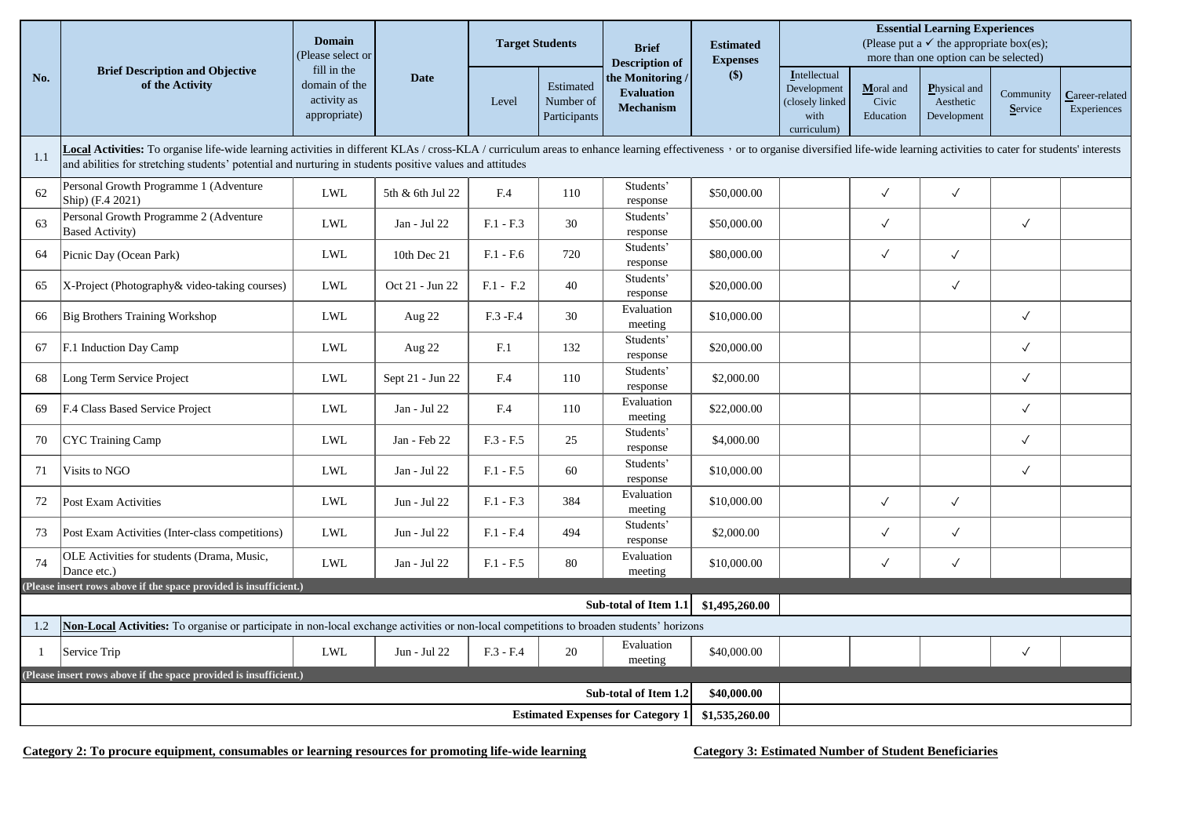|     | <b>Brief Description and Objective</b><br>of the Activity                                                                                                                                                                                                                                                                                  | <b>Domain</b><br>Please select or                           | <b>Date</b>      | <b>Target Students</b> |                                        | <b>Brief</b><br><b>Description of</b>                             | <b>Estimated</b><br><b>Expenses</b><br>\$) | <b>Essential Learning Experiences</b><br>(Please put a $\checkmark$ the appropriate box(es);<br>more than one option can be selected) |                                 |                                          |                      |                               |  |
|-----|--------------------------------------------------------------------------------------------------------------------------------------------------------------------------------------------------------------------------------------------------------------------------------------------------------------------------------------------|-------------------------------------------------------------|------------------|------------------------|----------------------------------------|-------------------------------------------------------------------|--------------------------------------------|---------------------------------------------------------------------------------------------------------------------------------------|---------------------------------|------------------------------------------|----------------------|-------------------------------|--|
| No. |                                                                                                                                                                                                                                                                                                                                            | fill in the<br>domain of the<br>activity as<br>appropriate) |                  | Level                  | Estimated<br>Number of<br>Participants | the Monitoring<br><b>Evaluation</b><br><b>Mechanism</b>           |                                            | Intellectual<br>Development<br>(closely linked<br>with<br>curriculum)                                                                 | Moral and<br>Civic<br>Education | Physical and<br>Aesthetic<br>Development | Community<br>Service | Career-related<br>Experiences |  |
| 1.1 | Local Activities: To organise life-wide learning activities in different KLAs / cross-KLA / curriculum areas to enhance learning effectiveness , or to organise diversified life-wide learning activities to cater for student<br>and abilities for stretching students' potential and nurturing in students positive values and attitudes |                                                             |                  |                        |                                        |                                                                   |                                            |                                                                                                                                       |                                 |                                          |                      |                               |  |
| 62  | Personal Growth Programme 1 (Adventure<br>Ship) $(F.4 2021)$                                                                                                                                                                                                                                                                               | <b>LWL</b>                                                  | 5th & 6th Jul 22 | F.4                    | 110                                    | Students'<br>response                                             | \$50,000.00                                |                                                                                                                                       | $\checkmark$                    | $\checkmark$                             |                      |                               |  |
| 63  | Personal Growth Programme 2 (Adventure<br><b>Based Activity</b> )                                                                                                                                                                                                                                                                          | <b>LWL</b>                                                  | Jan - Jul 22     | $F.1 - F.3$            | 30                                     | Students'<br>response                                             | \$50,000.00                                |                                                                                                                                       | $\checkmark$                    |                                          | $\checkmark$         |                               |  |
| 64  | Picnic Day (Ocean Park)                                                                                                                                                                                                                                                                                                                    | <b>LWL</b>                                                  | 10th Dec 21      | $F.1 - F.6$            | 720                                    | Students'<br>response                                             | \$80,000.00                                |                                                                                                                                       | $\checkmark$                    | $\checkmark$                             |                      |                               |  |
| 65  | X-Project (Photography& video-taking courses)                                                                                                                                                                                                                                                                                              | <b>LWL</b>                                                  | Oct 21 - Jun 22  | $F.1 - F.2$            | 40                                     | Students'<br>response                                             | \$20,000.00                                |                                                                                                                                       |                                 | $\checkmark$                             |                      |                               |  |
| 66  | <b>Big Brothers Training Workshop</b>                                                                                                                                                                                                                                                                                                      | <b>LWL</b>                                                  | Aug $22$         | F.3 -F.4               | 30                                     | Evaluation<br>meeting                                             | \$10,000.00                                |                                                                                                                                       |                                 |                                          | $\checkmark$         |                               |  |
| 67  | F.1 Induction Day Camp                                                                                                                                                                                                                                                                                                                     | <b>LWL</b>                                                  | Aug 22           | F.1                    | 132                                    | Students'<br>response                                             | \$20,000.00                                |                                                                                                                                       |                                 |                                          | $\checkmark$         |                               |  |
| 68  | Long Term Service Project                                                                                                                                                                                                                                                                                                                  | ${\rm LWL}$                                                 | Sept 21 - Jun 22 | F.4                    | 110                                    | Students'<br>response                                             | \$2,000.00                                 |                                                                                                                                       |                                 |                                          | $\checkmark$         |                               |  |
| 69  | F.4 Class Based Service Project                                                                                                                                                                                                                                                                                                            | <b>LWL</b>                                                  | Jan - Jul 22     | F.4                    | 110                                    | Evaluation<br>meeting                                             | \$22,000.00                                |                                                                                                                                       |                                 |                                          | $\checkmark$         |                               |  |
| 70  | CYC Training Camp                                                                                                                                                                                                                                                                                                                          | <b>LWL</b>                                                  | Jan - Feb 22     | $F.3 - F.5$            | 25                                     | Students'<br>response                                             | \$4,000.00                                 |                                                                                                                                       |                                 |                                          | $\checkmark$         |                               |  |
| 71  | Visits to NGO                                                                                                                                                                                                                                                                                                                              | <b>LWL</b>                                                  | Jan - Jul 22     | $F.1 - F.5$            | 60                                     | Students'<br>response                                             | \$10,000.00                                |                                                                                                                                       |                                 |                                          | $\checkmark$         |                               |  |
| 72  | Post Exam Activities                                                                                                                                                                                                                                                                                                                       | <b>LWL</b>                                                  | Jun - Jul 22     | $F.1 - F.3$            | 384                                    | Evaluation<br>meeting                                             | \$10,000.00                                |                                                                                                                                       | $\checkmark$                    | $\checkmark$                             |                      |                               |  |
| 73  | Post Exam Activities (Inter-class competitions)                                                                                                                                                                                                                                                                                            | <b>LWL</b>                                                  | Jun - Jul 22     | $F.1 - F.4$            | 494                                    | Students'<br>response                                             | \$2,000.00                                 |                                                                                                                                       | $\checkmark$                    | $\checkmark$                             |                      |                               |  |
| 74  | OLE Activities for students (Drama, Music,<br>Dance etc.)                                                                                                                                                                                                                                                                                  | ${\rm LWL}$                                                 | Jan - Jul 22     | $F.1 - F.5$            | 80                                     | Evaluation<br>meeting                                             | \$10,000.00                                |                                                                                                                                       | $\checkmark$                    | $\checkmark$                             |                      |                               |  |
|     | (Please insert rows above if the space provided is insufficient.)                                                                                                                                                                                                                                                                          |                                                             |                  |                        |                                        |                                                                   |                                            |                                                                                                                                       |                                 |                                          |                      |                               |  |
|     |                                                                                                                                                                                                                                                                                                                                            |                                                             |                  |                        |                                        | Sub-total of Item 1.1                                             | \$1,495,260.00                             |                                                                                                                                       |                                 |                                          |                      |                               |  |
| 1.2 | Non-Local Activities: To organise or participate in non-local exchange activities or non-local competitions to broaden students' horizons                                                                                                                                                                                                  |                                                             |                  |                        |                                        | Evaluation                                                        |                                            |                                                                                                                                       |                                 |                                          |                      |                               |  |
|     | Service Trip                                                                                                                                                                                                                                                                                                                               | <b>LWL</b>                                                  | Jun - Jul 22     | $F.3 - F.4$            | 20                                     | meeting                                                           | \$40,000.00                                |                                                                                                                                       |                                 |                                          | $\checkmark$         |                               |  |
|     | (Please insert rows above if the space provided is insufficient.)                                                                                                                                                                                                                                                                          |                                                             |                  |                        |                                        |                                                                   |                                            |                                                                                                                                       |                                 |                                          |                      |                               |  |
|     |                                                                                                                                                                                                                                                                                                                                            |                                                             |                  |                        |                                        | Sub-total of Item 1.2<br><b>Estimated Expenses for Category 1</b> | \$40,000.00                                |                                                                                                                                       |                                 |                                          |                      |                               |  |
|     |                                                                                                                                                                                                                                                                                                                                            | \$1,535,260.00                                              |                  |                        |                                        |                                                                   |                                            |                                                                                                                                       |                                 |                                          |                      |                               |  |

**Category 2: To procure equipment, consumables or learning resources for promoting life-wide learning**

**Category 3: Estimated Number of Student Beneficiaries**